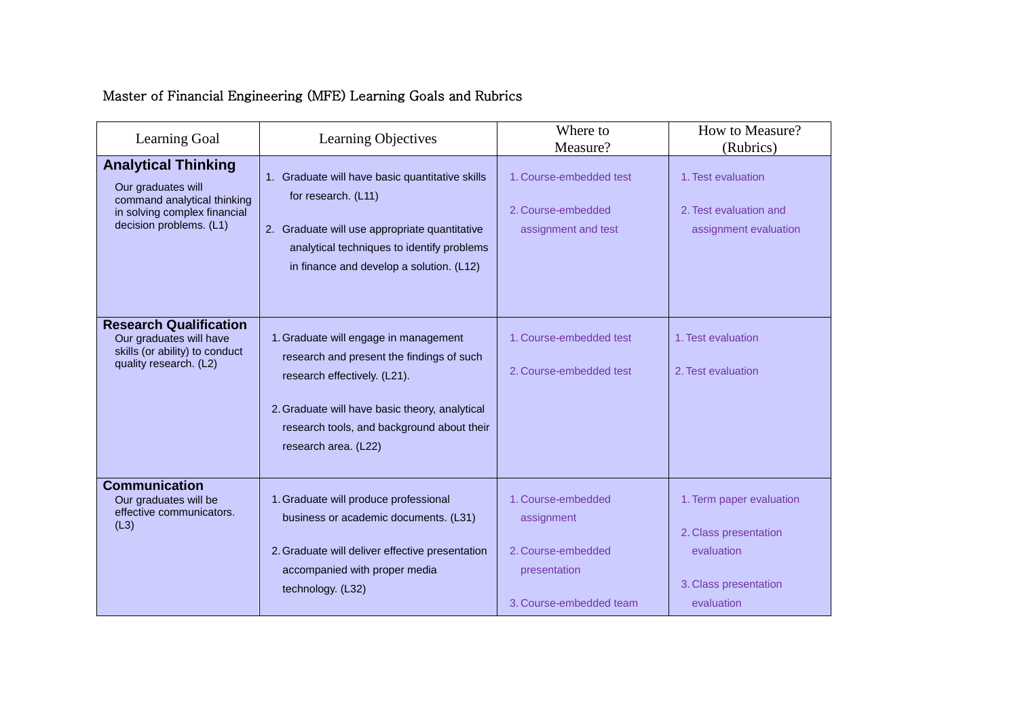# Master of Financial Engineering (MFE) Learning Goals and Rubrics

| Learning Goal                                                                                                                              | Learning Objectives                                                                                                                                                                                                                        | Where to<br>Measure?                                                                              | How to Measure?<br>(Rubrics)                                                                           |
|--------------------------------------------------------------------------------------------------------------------------------------------|--------------------------------------------------------------------------------------------------------------------------------------------------------------------------------------------------------------------------------------------|---------------------------------------------------------------------------------------------------|--------------------------------------------------------------------------------------------------------|
| <b>Analytical Thinking</b><br>Our graduates will<br>command analytical thinking<br>in solving complex financial<br>decision problems. (L1) | 1. Graduate will have basic quantitative skills<br>for research. (L11)<br>2. Graduate will use appropriate quantitative<br>analytical techniques to identify problems<br>in finance and develop a solution. (L12)                          | 1. Course-embedded test<br>2. Course-embedded<br>assignment and test                              | 1. Test evaluation<br>2. Test evaluation and<br>assignment evaluation                                  |
| <b>Research Qualification</b><br>Our graduates will have<br>skills (or ability) to conduct<br>quality research. (L2)                       | 1. Graduate will engage in management<br>research and present the findings of such<br>research effectively. (L21).<br>2. Graduate will have basic theory, analytical<br>research tools, and background about their<br>research area. (L22) | 1. Course-embedded test<br>2. Course-embedded test                                                | 1. Test evaluation<br>2. Test evaluation                                                               |
| <b>Communication</b><br>Our graduates will be<br>effective communicators.<br>(L3)                                                          | 1. Graduate will produce professional<br>business or academic documents. (L31)<br>2. Graduate will deliver effective presentation<br>accompanied with proper media<br>technology. (L32)                                                    | 1. Course-embedded<br>assignment<br>2. Course-embedded<br>presentation<br>3. Course-embedded team | 1. Term paper evaluation<br>2. Class presentation<br>evaluation<br>3. Class presentation<br>evaluation |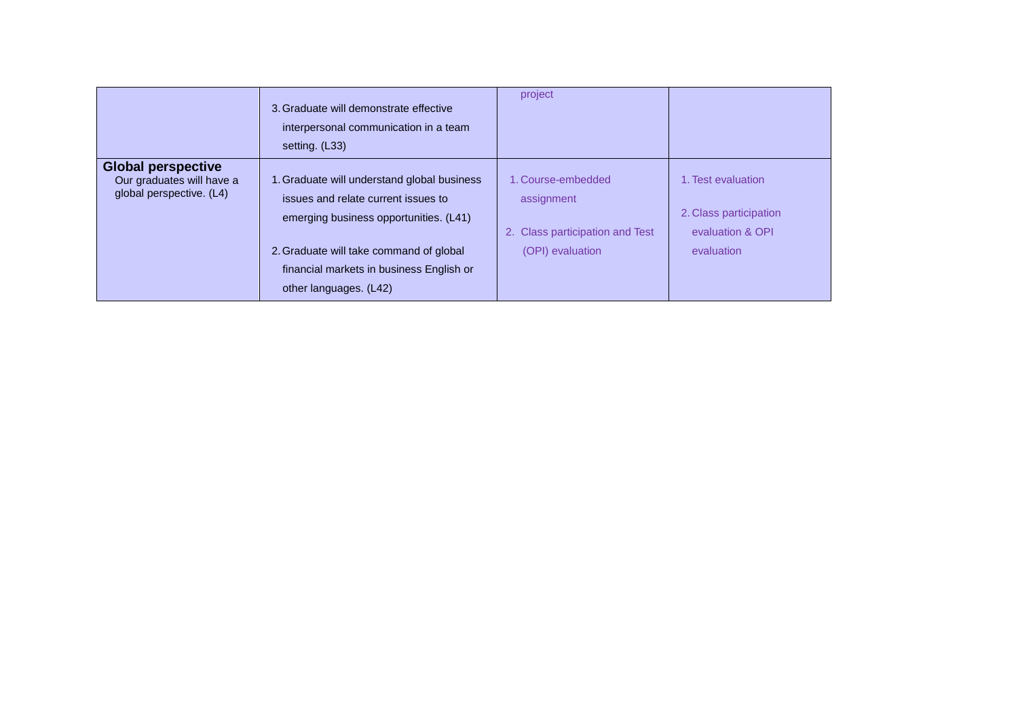|                                                                                    | 3. Graduate will demonstrate effective<br>interpersonal communication in a team<br>setting. (L33)                                                                                                                                             | project                                                                                 |                                                                                |
|------------------------------------------------------------------------------------|-----------------------------------------------------------------------------------------------------------------------------------------------------------------------------------------------------------------------------------------------|-----------------------------------------------------------------------------------------|--------------------------------------------------------------------------------|
| <b>Global perspective</b><br>Our graduates will have a<br>global perspective. (L4) | 1. Graduate will understand global business<br>issues and relate current issues to<br>emerging business opportunities. (L41)<br>2. Graduate will take command of global<br>financial markets in business English or<br>other languages. (L42) | 1. Course-embedded<br>assignment<br>2. Class participation and Test<br>(OPI) evaluation | 1. Test evaluation<br>2. Class participation<br>evaluation & OPI<br>evaluation |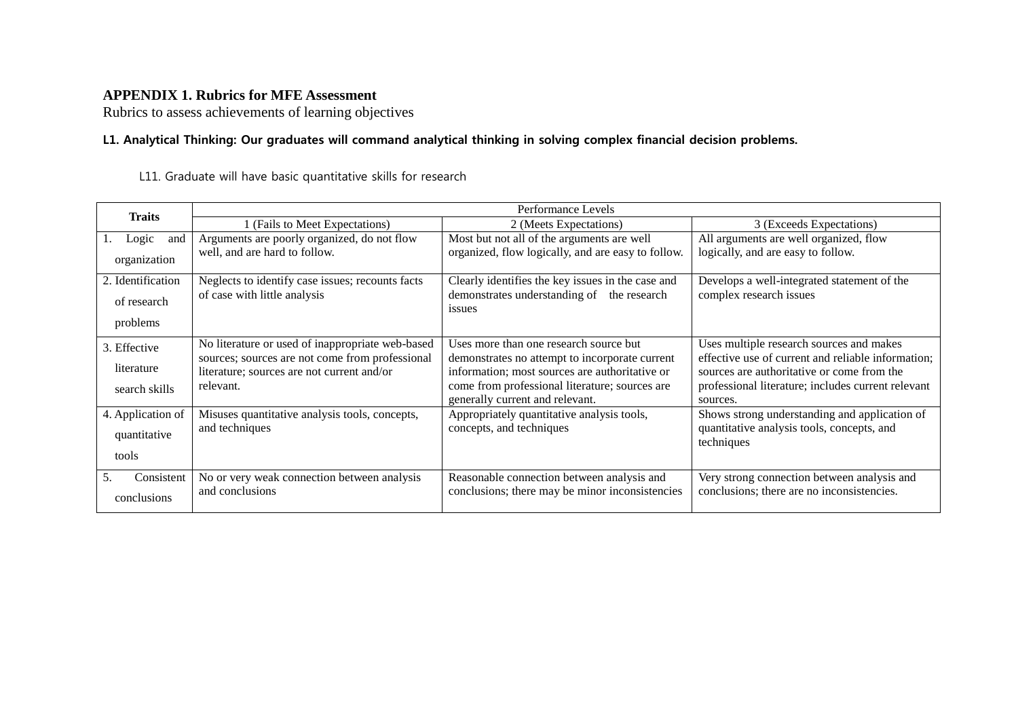#### **APPENDIX 1. Rubrics for MFE Assessment**

Rubrics to assess achievements of learning objectives

#### **L1. Analytical Thinking: Our graduates will command analytical thinking in solving complex financial decision problems.**

L11. Graduate will have basic quantitative skills for research

| <b>Traits</b>     | Performance Levels                                                                                  |                                                                                                  |                                                                                                |  |  |  |  |
|-------------------|-----------------------------------------------------------------------------------------------------|--------------------------------------------------------------------------------------------------|------------------------------------------------------------------------------------------------|--|--|--|--|
|                   | 1 (Fails to Meet Expectations)                                                                      | 2 (Meets Expectations)                                                                           | 3 (Exceeds Expectations)                                                                       |  |  |  |  |
| Logic<br>and      | Arguments are poorly organized, do not flow                                                         | Most but not all of the arguments are well                                                       | All arguments are well organized, flow                                                         |  |  |  |  |
| organization      | well, and are hard to follow.                                                                       | organized, flow logically, and are easy to follow.                                               | logically, and are easy to follow.                                                             |  |  |  |  |
| 2. Identification | Neglects to identify case issues; recounts facts                                                    | Clearly identifies the key issues in the case and                                                | Develops a well-integrated statement of the                                                    |  |  |  |  |
| of research       | of case with little analysis                                                                        | demonstrates understanding of the research<br><i>issues</i>                                      | complex research issues                                                                        |  |  |  |  |
| problems          |                                                                                                     |                                                                                                  |                                                                                                |  |  |  |  |
| 3. Effective      | No literature or used of inappropriate web-based<br>sources; sources are not come from professional | Uses more than one research source but                                                           | Uses multiple research sources and makes<br>effective use of current and reliable information; |  |  |  |  |
| literature        | literature; sources are not current and/or                                                          | demonstrates no attempt to incorporate current<br>information; most sources are authoritative or | sources are authoritative or come from the                                                     |  |  |  |  |
| search skills     | relevant.                                                                                           | come from professional literature; sources are<br>generally current and relevant.                | professional literature; includes current relevant<br>sources.                                 |  |  |  |  |
| 4. Application of | Misuses quantitative analysis tools, concepts,                                                      | Appropriately quantitative analysis tools,                                                       | Shows strong understanding and application of                                                  |  |  |  |  |
| quantitative      | and techniques                                                                                      | concepts, and techniques                                                                         | quantitative analysis tools, concepts, and<br>techniques                                       |  |  |  |  |
| tools             |                                                                                                     |                                                                                                  |                                                                                                |  |  |  |  |
| 5.<br>Consistent  | No or very weak connection between analysis                                                         | Reasonable connection between analysis and                                                       | Very strong connection between analysis and                                                    |  |  |  |  |
| conclusions       | and conclusions                                                                                     | conclusions; there may be minor inconsistencies                                                  | conclusions; there are no inconsistencies.                                                     |  |  |  |  |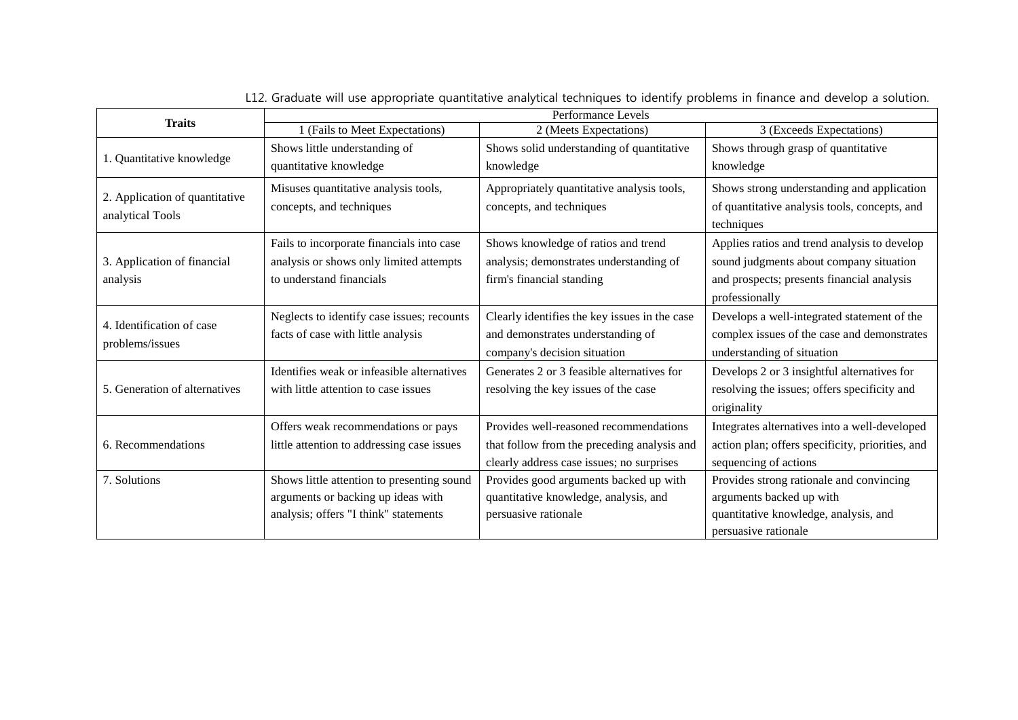| <b>Traits</b>                                      | Performance Levels                         |                                               |                                                  |  |  |  |  |
|----------------------------------------------------|--------------------------------------------|-----------------------------------------------|--------------------------------------------------|--|--|--|--|
|                                                    | 1 (Fails to Meet Expectations)             | 2 (Meets Expectations)                        | 3 (Exceeds Expectations)                         |  |  |  |  |
|                                                    | Shows little understanding of              | Shows solid understanding of quantitative     | Shows through grasp of quantitative              |  |  |  |  |
| 1. Quantitative knowledge                          | quantitative knowledge                     | knowledge                                     | knowledge                                        |  |  |  |  |
|                                                    | Misuses quantitative analysis tools,       | Appropriately quantitative analysis tools,    | Shows strong understanding and application       |  |  |  |  |
| 2. Application of quantitative<br>analytical Tools | concepts, and techniques                   | concepts, and techniques                      | of quantitative analysis tools, concepts, and    |  |  |  |  |
|                                                    |                                            |                                               | techniques                                       |  |  |  |  |
|                                                    | Fails to incorporate financials into case  | Shows knowledge of ratios and trend           | Applies ratios and trend analysis to develop     |  |  |  |  |
| 3. Application of financial                        | analysis or shows only limited attempts    | analysis; demonstrates understanding of       | sound judgments about company situation          |  |  |  |  |
| analysis                                           | to understand financials                   | firm's financial standing                     | and prospects; presents financial analysis       |  |  |  |  |
|                                                    |                                            |                                               | professionally                                   |  |  |  |  |
| 4. Identification of case                          | Neglects to identify case issues; recounts | Clearly identifies the key issues in the case | Develops a well-integrated statement of the      |  |  |  |  |
|                                                    | facts of case with little analysis         | and demonstrates understanding of             | complex issues of the case and demonstrates      |  |  |  |  |
| problems/issues                                    |                                            | company's decision situation                  | understanding of situation                       |  |  |  |  |
|                                                    | Identifies weak or infeasible alternatives | Generates 2 or 3 feasible alternatives for    | Develops 2 or 3 insightful alternatives for      |  |  |  |  |
| 5. Generation of alternatives                      | with little attention to case issues       | resolving the key issues of the case          | resolving the issues; offers specificity and     |  |  |  |  |
|                                                    |                                            |                                               | originality                                      |  |  |  |  |
|                                                    | Offers weak recommendations or pays        | Provides well-reasoned recommendations        | Integrates alternatives into a well-developed    |  |  |  |  |
| 6. Recommendations                                 | little attention to addressing case issues | that follow from the preceding analysis and   | action plan; offers specificity, priorities, and |  |  |  |  |
|                                                    |                                            | clearly address case issues; no surprises     | sequencing of actions                            |  |  |  |  |
| 7. Solutions                                       | Shows little attention to presenting sound | Provides good arguments backed up with        | Provides strong rationale and convincing         |  |  |  |  |
|                                                    | arguments or backing up ideas with         | quantitative knowledge, analysis, and         | arguments backed up with                         |  |  |  |  |
|                                                    | analysis; offers "I think" statements      | persuasive rationale                          | quantitative knowledge, analysis, and            |  |  |  |  |
|                                                    |                                            |                                               | persuasive rationale                             |  |  |  |  |

L12. Graduate will use appropriate quantitative analytical techniques to identify problems in finance and develop a solution.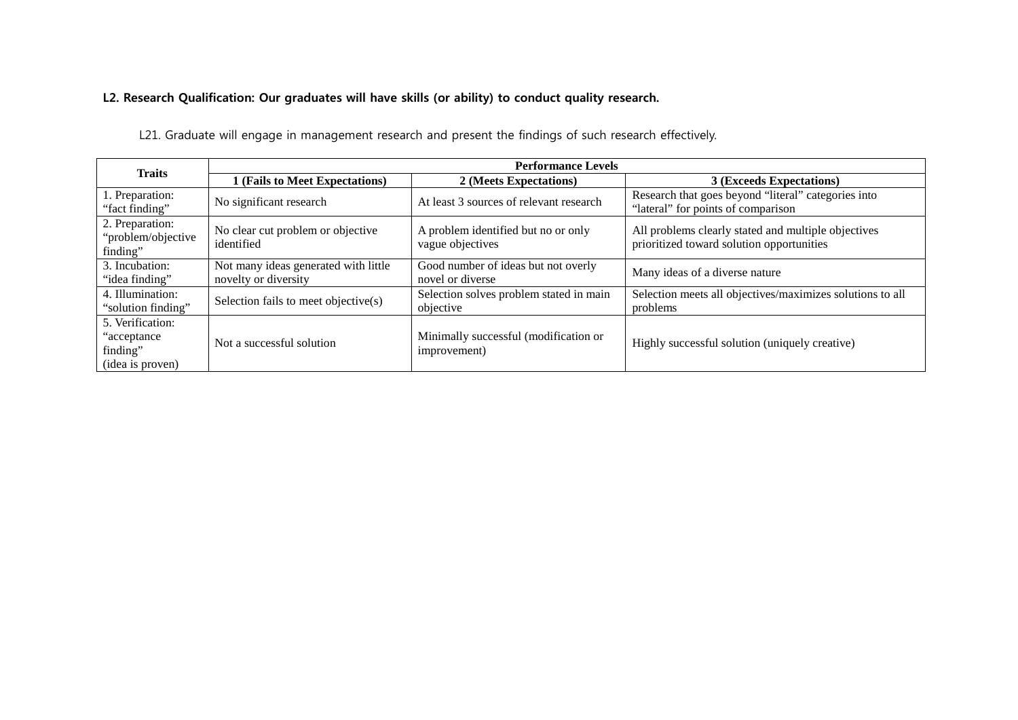### **L2. Research Qualification: Our graduates will have skills (or ability) to conduct quality research.**

L21. Graduate will engage in management research and present the findings of such research effectively.

| <b>Traits</b>                                                    | <b>Performance Levels</b>                                    |                                                         |                                                                                                  |  |  |  |
|------------------------------------------------------------------|--------------------------------------------------------------|---------------------------------------------------------|--------------------------------------------------------------------------------------------------|--|--|--|
|                                                                  | 1 (Fails to Meet Expectations)                               | 2 (Meets Expectations)                                  | 3 (Exceeds Expectations)                                                                         |  |  |  |
| 1. Preparation:<br>"fact finding"                                | No significant research                                      | At least 3 sources of relevant research                 | Research that goes beyond "literal" categories into<br>"lateral" for points of comparison        |  |  |  |
| 2. Preparation:<br>"problem/objective<br>finding"                | No clear cut problem or objective<br>identified              | A problem identified but no or only<br>vague objectives | All problems clearly stated and multiple objectives<br>prioritized toward solution opportunities |  |  |  |
| 3. Incubation:<br>"idea finding"                                 | Not many ideas generated with little<br>novelty or diversity | Good number of ideas but not overly<br>novel or diverse | Many ideas of a diverse nature                                                                   |  |  |  |
| 4. Illumination:<br>"solution finding"                           | Selection fails to meet objective(s)                         | Selection solves problem stated in main<br>objective    | Selection meets all objectives/maximizes solutions to all<br>problems                            |  |  |  |
| 5. Verification:<br>"acceptance"<br>finding"<br>(idea is proven) | Not a successful solution                                    | Minimally successful (modification or<br>improvement)   | Highly successful solution (uniquely creative)                                                   |  |  |  |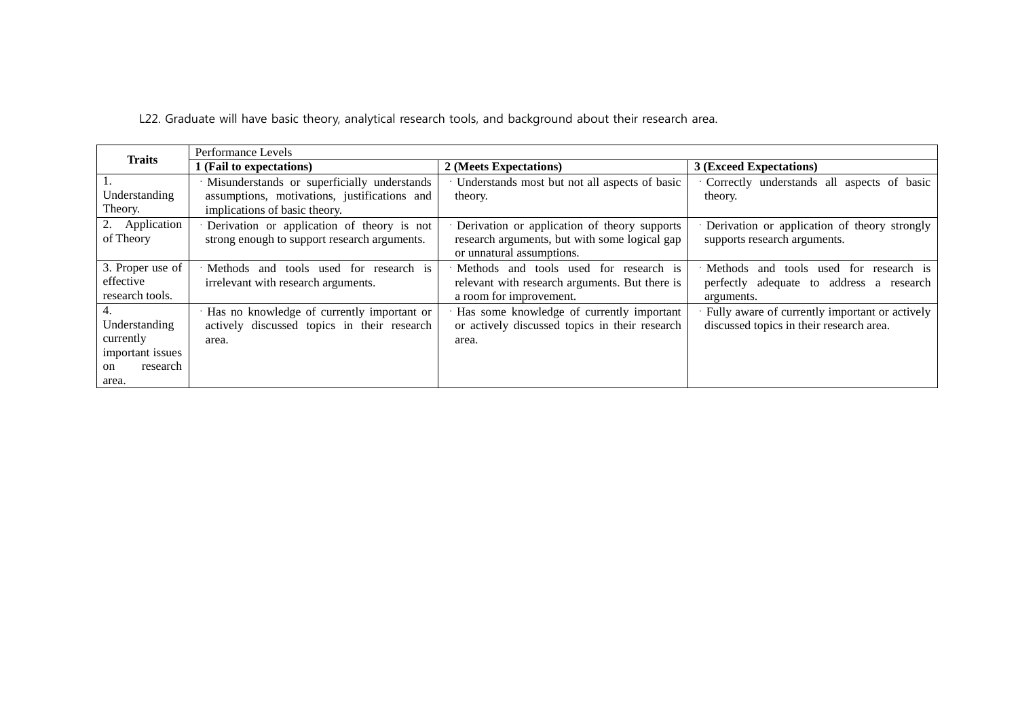L22. Graduate will have basic theory, analytical research tools, and background about their research area.

| <b>Traits</b>                                                                   | Performance Levels                                                                                                             |                                                                                                                            |                                                                                                               |  |  |  |  |
|---------------------------------------------------------------------------------|--------------------------------------------------------------------------------------------------------------------------------|----------------------------------------------------------------------------------------------------------------------------|---------------------------------------------------------------------------------------------------------------|--|--|--|--|
|                                                                                 | 1 (Fail to expectations)                                                                                                       | 2 (Meets Expectations)                                                                                                     | 3 (Exceed Expectations)                                                                                       |  |  |  |  |
| Understanding<br>Theory.                                                        | · Misunderstands or superficially understands<br>assumptions, motivations, justifications and<br>implications of basic theory. | Understands most but not all aspects of basic<br>theory.                                                                   | Correctly understands all aspects of basic<br>theory.                                                         |  |  |  |  |
| 2. Application<br>of Theory                                                     | · Derivation or application of theory is not<br>strong enough to support research arguments.                                   | Derivation or application of theory supports<br>research arguments, but with some logical gap<br>or unnatural assumptions. | Derivation or application of theory strongly<br>supports research arguments.                                  |  |  |  |  |
| 3. Proper use of<br>effective<br>research tools.                                | Methods and tools used for research is<br>irrelevant with research arguments.                                                  | Methods and tools used for research is<br>relevant with research arguments. But there is<br>a room for improvement.        | tools used for research is<br><b>Methods</b><br>and<br>perfectly adequate to address a research<br>arguments. |  |  |  |  |
| 4.<br>Understanding<br>currently<br>important issues<br>research<br>on<br>area. | · Has no knowledge of currently important or<br>actively discussed topics in their research<br>area.                           | Has some knowledge of currently important<br>or actively discussed topics in their research<br>area.                       | Fully aware of currently important or actively<br>discussed topics in their research area.                    |  |  |  |  |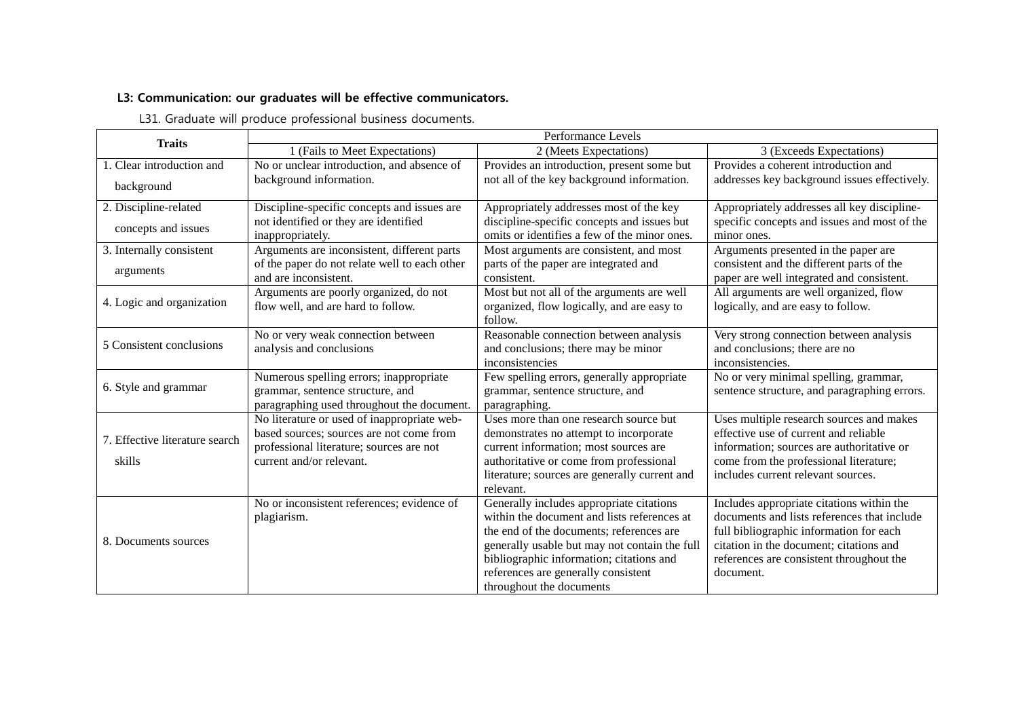### **L3: Communication: our graduates will be effective communicators.**

L31. Graduate will produce professional business documents.

| <b>Traits</b>                            | Performance Levels                                                                                                                                              |                                                                                                                                                                                                                                                                                                     |                                                                                                                                                                                                                                         |  |  |  |  |
|------------------------------------------|-----------------------------------------------------------------------------------------------------------------------------------------------------------------|-----------------------------------------------------------------------------------------------------------------------------------------------------------------------------------------------------------------------------------------------------------------------------------------------------|-----------------------------------------------------------------------------------------------------------------------------------------------------------------------------------------------------------------------------------------|--|--|--|--|
|                                          | 1 (Fails to Meet Expectations)                                                                                                                                  | 2 (Meets Expectations)                                                                                                                                                                                                                                                                              | 3 (Exceeds Expectations)                                                                                                                                                                                                                |  |  |  |  |
| 1. Clear introduction and                | No or unclear introduction, and absence of                                                                                                                      | Provides an introduction, present some but                                                                                                                                                                                                                                                          | Provides a coherent introduction and                                                                                                                                                                                                    |  |  |  |  |
| background                               | background information.                                                                                                                                         | not all of the key background information.                                                                                                                                                                                                                                                          | addresses key background issues effectively.                                                                                                                                                                                            |  |  |  |  |
| 2. Discipline-related                    | Discipline-specific concepts and issues are                                                                                                                     | Appropriately addresses most of the key                                                                                                                                                                                                                                                             | Appropriately addresses all key discipline-                                                                                                                                                                                             |  |  |  |  |
| concepts and issues                      | not identified or they are identified<br>inappropriately.                                                                                                       | discipline-specific concepts and issues but<br>omits or identifies a few of the minor ones.                                                                                                                                                                                                         | specific concepts and issues and most of the<br>minor ones.                                                                                                                                                                             |  |  |  |  |
| 3. Internally consistent                 | Arguments are inconsistent, different parts                                                                                                                     | Most arguments are consistent, and most                                                                                                                                                                                                                                                             | Arguments presented in the paper are                                                                                                                                                                                                    |  |  |  |  |
| arguments                                | of the paper do not relate well to each other<br>and are inconsistent.                                                                                          | parts of the paper are integrated and<br>consistent.                                                                                                                                                                                                                                                | consistent and the different parts of the<br>paper are well integrated and consistent.                                                                                                                                                  |  |  |  |  |
| 4. Logic and organization                | Arguments are poorly organized, do not<br>flow well, and are hard to follow.                                                                                    | Most but not all of the arguments are well<br>organized, flow logically, and are easy to<br>follow.                                                                                                                                                                                                 | All arguments are well organized, flow<br>logically, and are easy to follow.                                                                                                                                                            |  |  |  |  |
| 5 Consistent conclusions                 | No or very weak connection between<br>analysis and conclusions                                                                                                  | Reasonable connection between analysis<br>and conclusions; there may be minor<br>inconsistencies                                                                                                                                                                                                    | Very strong connection between analysis<br>and conclusions; there are no<br>inconsistencies.                                                                                                                                            |  |  |  |  |
| 6. Style and grammar                     | Numerous spelling errors; inappropriate<br>grammar, sentence structure, and<br>paragraphing used throughout the document.                                       | Few spelling errors, generally appropriate<br>grammar, sentence structure, and<br>paragraphing.                                                                                                                                                                                                     | No or very minimal spelling, grammar,<br>sentence structure, and paragraphing errors.                                                                                                                                                   |  |  |  |  |
| 7. Effective literature search<br>skills | No literature or used of inappropriate web-<br>based sources; sources are not come from<br>professional literature; sources are not<br>current and/or relevant. | Uses more than one research source but<br>demonstrates no attempt to incorporate<br>current information; most sources are<br>authoritative or come from professional<br>literature; sources are generally current and<br>relevant.                                                                  | Uses multiple research sources and makes<br>effective use of current and reliable<br>information; sources are authoritative or<br>come from the professional literature;<br>includes current relevant sources.                          |  |  |  |  |
| 8. Documents sources                     | No or inconsistent references; evidence of<br>plagiarism.                                                                                                       | Generally includes appropriate citations<br>within the document and lists references at<br>the end of the documents; references are<br>generally usable but may not contain the full<br>bibliographic information; citations and<br>references are generally consistent<br>throughout the documents | Includes appropriate citations within the<br>documents and lists references that include<br>full bibliographic information for each<br>citation in the document; citations and<br>references are consistent throughout the<br>document. |  |  |  |  |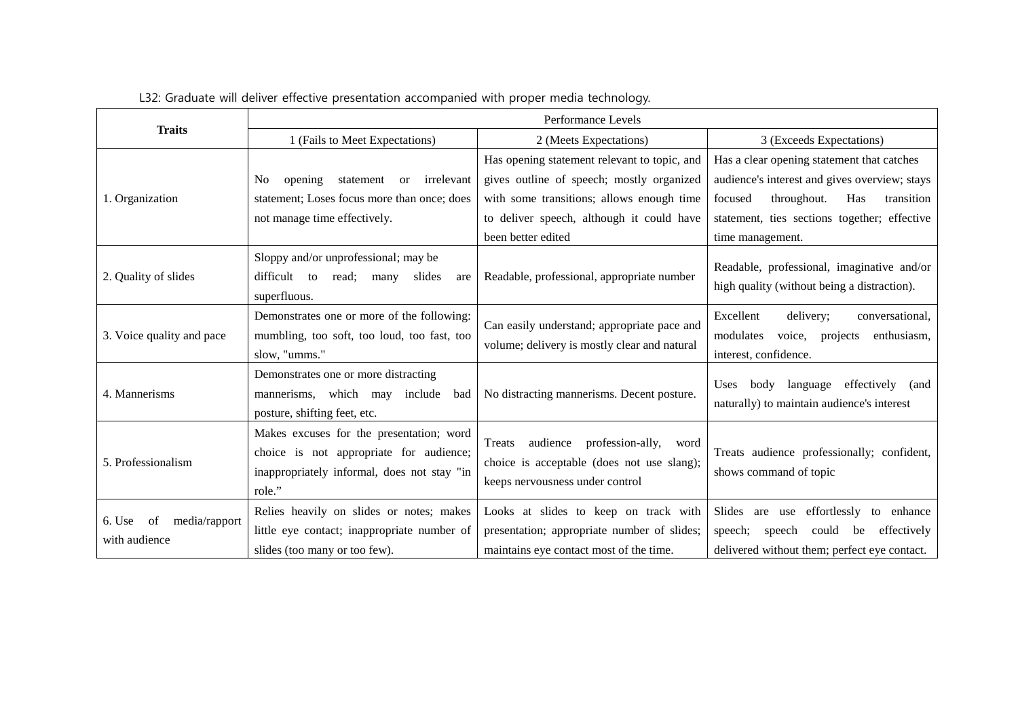|                                                | Performance Levels                                                                                                                           |                                                                                                                                 |                                                                                                                                                        |  |  |  |
|------------------------------------------------|----------------------------------------------------------------------------------------------------------------------------------------------|---------------------------------------------------------------------------------------------------------------------------------|--------------------------------------------------------------------------------------------------------------------------------------------------------|--|--|--|
| <b>Traits</b>                                  | 1 (Fails to Meet Expectations)                                                                                                               | 2 (Meets Expectations)                                                                                                          | 3 (Exceeds Expectations)                                                                                                                               |  |  |  |
|                                                |                                                                                                                                              | Has opening statement relevant to topic, and                                                                                    | Has a clear opening statement that catches                                                                                                             |  |  |  |
|                                                | irrelevant<br>opening<br>statement<br><b>or</b><br>No                                                                                        | gives outline of speech; mostly organized                                                                                       | audience's interest and gives overview; stays                                                                                                          |  |  |  |
| 1. Organization                                | statement; Loses focus more than once; does                                                                                                  | with some transitions; allows enough time                                                                                       | throughout.<br>focused<br>Has<br>transition                                                                                                            |  |  |  |
|                                                | not manage time effectively.                                                                                                                 | to deliver speech, although it could have                                                                                       | statement, ties sections together; effective                                                                                                           |  |  |  |
|                                                |                                                                                                                                              | been better edited                                                                                                              | time management.                                                                                                                                       |  |  |  |
| 2. Quality of slides                           | Sloppy and/or unprofessional; may be<br>difficult to<br>read;<br>slides<br>many<br>are<br>superfluous.                                       | Readable, professional, appropriate number                                                                                      | Readable, professional, imaginative and/or<br>high quality (without being a distraction).                                                              |  |  |  |
| 3. Voice quality and pace                      | Demonstrates one or more of the following:<br>mumbling, too soft, too loud, too fast, too<br>slow, "umms."                                   | Can easily understand; appropriate pace and<br>volume; delivery is mostly clear and natural                                     | Excellent<br>delivery;<br>conversational,<br>modulates<br>enthusiasm,<br>voice,<br>projects<br>interest, confidence.                                   |  |  |  |
| 4. Mannerisms                                  | Demonstrates one or more distracting<br>mannerisms, which may include<br>bad<br>posture, shifting feet, etc.                                 | No distracting mannerisms. Decent posture.                                                                                      | body language<br>effectively (and<br><b>Uses</b><br>naturally) to maintain audience's interest                                                         |  |  |  |
| 5. Professionalism                             | Makes excuses for the presentation; word<br>choice is not appropriate for audience;<br>inappropriately informal, does not stay "in<br>role." | audience<br>profession-ally,<br>Treats<br>word<br>choice is acceptable (does not use slang);<br>keeps nervousness under control | Treats audience professionally; confident,<br>shows command of topic                                                                                   |  |  |  |
| 6. Use<br>media/rapport<br>of<br>with audience | Relies heavily on slides or notes; makes<br>little eye contact; inappropriate number of<br>slides (too many or too few).                     | Looks at slides to keep on track with<br>presentation; appropriate number of slides;<br>maintains eye contact most of the time. | are use effortlessly<br><b>Slides</b><br>to enhance<br>effectively<br>speech;<br>speech<br>could<br>be<br>delivered without them; perfect eye contact. |  |  |  |

## L32: Graduate will deliver effective presentation accompanied with proper media technology.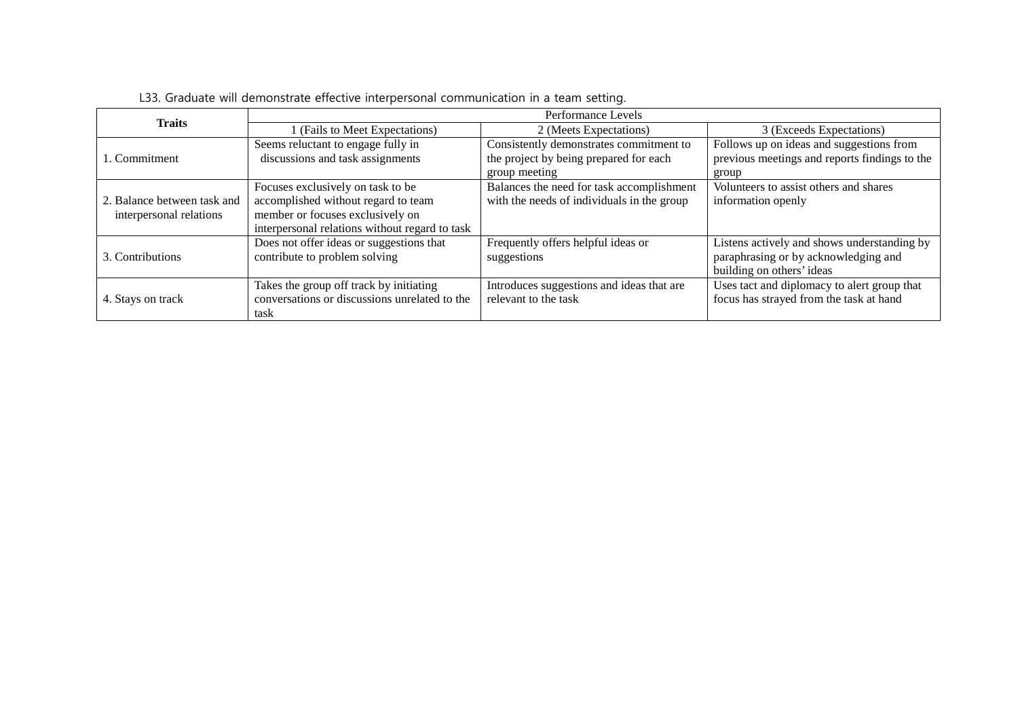| <b>Traits</b>               | Performance Levels                             |                                            |                                               |  |  |  |
|-----------------------------|------------------------------------------------|--------------------------------------------|-----------------------------------------------|--|--|--|
|                             | (Fails to Meet Expectations)                   | 2 (Meets Expectations)                     | 3 (Exceeds Expectations)                      |  |  |  |
|                             | Seems reluctant to engage fully in             | Consistently demonstrates commitment to    | Follows up on ideas and suggestions from      |  |  |  |
| 1. Commitment               | discussions and task assignments               | the project by being prepared for each     | previous meetings and reports findings to the |  |  |  |
|                             |                                                | group meeting                              | group                                         |  |  |  |
|                             | Focuses exclusively on task to be              | Balances the need for task accomplishment  | Volunteers to assist others and shares        |  |  |  |
| 2. Balance between task and | accomplished without regard to team            | with the needs of individuals in the group | information openly                            |  |  |  |
| interpersonal relations     | member or focuses exclusively on               |                                            |                                               |  |  |  |
|                             | interpersonal relations without regard to task |                                            |                                               |  |  |  |
|                             | Does not offer ideas or suggestions that       | Frequently offers helpful ideas or         | Listens actively and shows understanding by   |  |  |  |
| 3. Contributions            | contribute to problem solving                  | suggestions                                | paraphrasing or by acknowledging and          |  |  |  |
|                             |                                                |                                            | building on others' ideas                     |  |  |  |
|                             | Takes the group off track by initiating        | Introduces suggestions and ideas that are  | Uses tact and diplomacy to alert group that   |  |  |  |
| 4. Stays on track           | conversations or discussions unrelated to the  | relevant to the task                       | focus has strayed from the task at hand       |  |  |  |
|                             | task                                           |                                            |                                               |  |  |  |

## L33. Graduate will demonstrate effective interpersonal communication in a team setting.